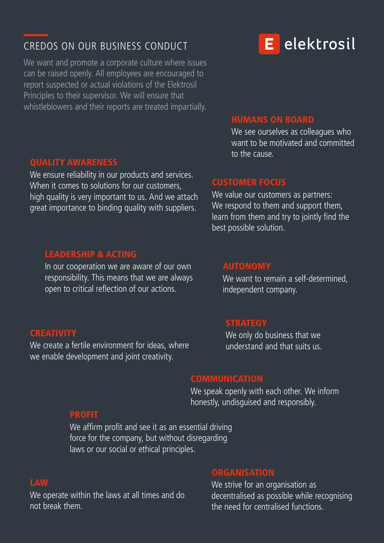# CREDOS ON OUR BUSINESS CONDUCT

We want and promote a corporate culture where issues can be raised openly. All employees are encouraged to report suspected or actual violations of the Elektrosil Principles to their supervisor. We will ensure that whistleblowers and their reports are treated impartially.

#### QUALITY AWARENESS

We ensure reliability in our products and services. When it comes to solutions for our customers, high quality is very important to us. And we attach great importance to binding quality with suppliers.

#### LEADERSHIP & ACTING

In our cooperation we are aware of our own responsibility. This means that we are always open to critical reflection of our actions.

to the cause.

HUMANS ON BOARD

We see ourselves as colleagues who want to be motivated and committed

#### CUSTOMER FOCUS

We value our customers as partners: We respond to them and support them, learn from them and try to jointly find the best possible solution.

### AUTONOMY

We want to remain a self-determined, independent company.

#### **STRATEGY**

We only do business that we understand and that suits us.

### **COMMUNICATION**

We speak openly with each other. We inform honestly, undisguised and responsibly.

#### PROFIT

We affirm profit and see it as an essential driving force for the company, but without disregarding laws or our social or ethical principles.

#### LAW

We operate within the laws at all times and do not break them.

#### **ORGANISATION**

We strive for an organisation as decentralised as possible while recognising the need for centralised functions.

# E elektrosil

### **CREATIVITY**

We create a fertile environment for ideas, where we enable development and joint creativity.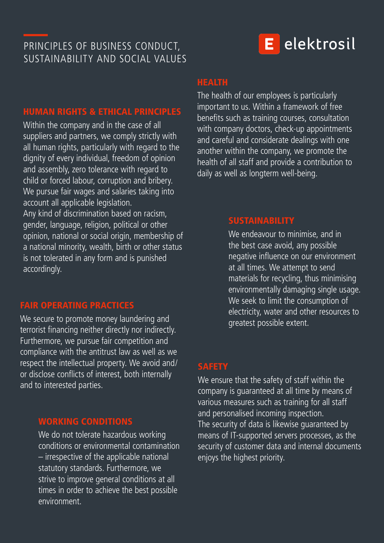# PRINCIPLES OF BUSINESS CONDUCT, SUSTAINABILITY AND SOCIAL VALUES

# E elektrosil

#### HUMAN RIGHTS & ETHICAL PRINCIPLES

Within the company and in the case of all suppliers and partners, we comply strictly with all human rights, particularly with regard to the dignity of every individual, freedom of opinion and assembly, zero tolerance with regard to child or forced labour, corruption and bribery. We pursue fair wages and salaries taking into account all applicable legislation. Any kind of discrimination based on racism, gender, language, religion, political or other opinion, national or social origin, membership of a national minority, wealth, birth or other status is not tolerated in any form and is punished accordingly.

#### FAIR OPERATING PRACTICES

We secure to promote money laundering and terrorist financing neither directly nor indirectly. Furthermore, we pursue fair competition and compliance with the antitrust law as well as we respect the intellectual property. We avoid and/ or disclose conflicts of interest, both internally and to interested parties.

#### WORKING CONDITIONS

We do not tolerate hazardous working conditions or environmental contamination – irrespective of the applicable national statutory standards. Furthermore, we strive to improve general conditions at all times in order to achieve the best possible environment.

### HEALTH

The health of our employees is particularly important to us. Within a framework of free benefits such as training courses, consultation with company doctors, check-up appointments and careful and considerate dealings with one another within the company, we promote the health of all staff and provide a contribution to daily as well as longterm well-being.

#### **SUSTAINABILITY**

We endeavour to minimise, and in the best case avoid, any possible negative influence on our environment at all times. We attempt to send materials for recycling, thus minimising environmentally damaging single usage. We seek to limit the consumption of electricity, water and other resources to greatest possible extent.

#### **SAFETY**

We ensure that the safety of staff within the company is guaranteed at all time by means of various measures such as training for all staff and personalised incoming inspection. The security of data is likewise guaranteed by means of IT-supported servers processes, as the security of customer data and internal documents enjoys the highest priority.